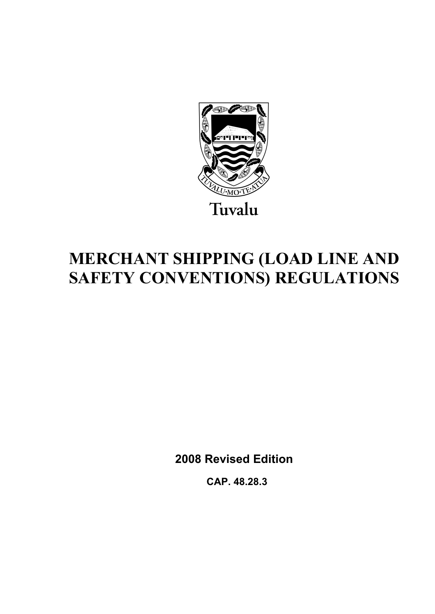

# **MERCHANT SHIPPING (LOAD LINE AND SAFETY CONVENTIONS) REGULATIONS**

**2008 Revised Edition** 

 **CAP. 48.28.3**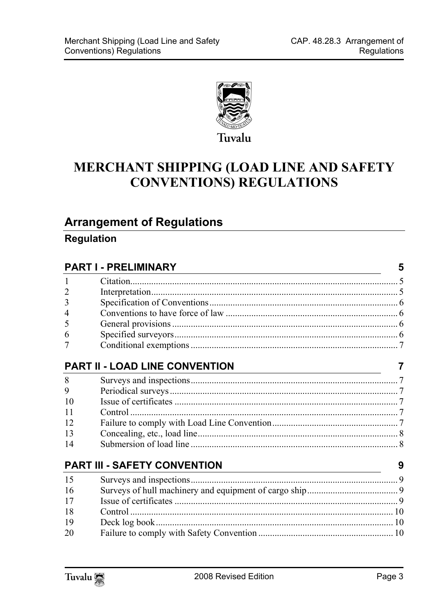

## MERCHANT SHIPPING (LOAD LINE AND SAFETY **CONVENTIONS) REGULATIONS**

### **Arrangement of Regulations**

### **Regulation**

|                | <b>PART I - PRELIMINARY</b>                                                                                                                                   | 5 |
|----------------|---------------------------------------------------------------------------------------------------------------------------------------------------------------|---|
| 1              |                                                                                                                                                               |   |
| $\overline{2}$ |                                                                                                                                                               |   |
| 3              |                                                                                                                                                               |   |
| 4              |                                                                                                                                                               |   |
| 5              |                                                                                                                                                               |   |
| 6              |                                                                                                                                                               |   |
| 7              |                                                                                                                                                               |   |
|                | <b>PART II - LOAD LINE CONVENTION</b><br><u> 1989 - Johann Stein, marwolaethau a bhann an t-Amhair an t-Amhair an t-Amhair an t-Amhair an t-Amhair an t-A</u> |   |
| 8              |                                                                                                                                                               |   |
| 9              |                                                                                                                                                               |   |
| 10             |                                                                                                                                                               |   |
| 11             |                                                                                                                                                               |   |
| 12             |                                                                                                                                                               |   |
| 13             |                                                                                                                                                               |   |
| 14             |                                                                                                                                                               |   |
|                | <b>PART III - SAFETY CONVENTION</b>                                                                                                                           | 9 |
| 15             |                                                                                                                                                               |   |
| 16             |                                                                                                                                                               |   |
| 17             |                                                                                                                                                               |   |
| 18             | Control.                                                                                                                                                      |   |
| 19             |                                                                                                                                                               |   |
| 20             |                                                                                                                                                               |   |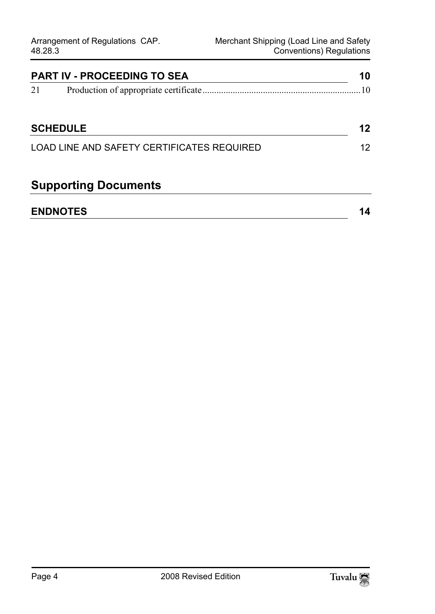| <b>PART IV - PROCEEDING TO SEA</b>         |                 | 10 |
|--------------------------------------------|-----------------|----|
| 21                                         |                 | 10 |
|                                            | <b>SCHEDULE</b> | 12 |
| LOAD LINE AND SAFETY CERTIFICATES REQUIRED |                 | 12 |
|                                            |                 |    |

## **Supporting Documents**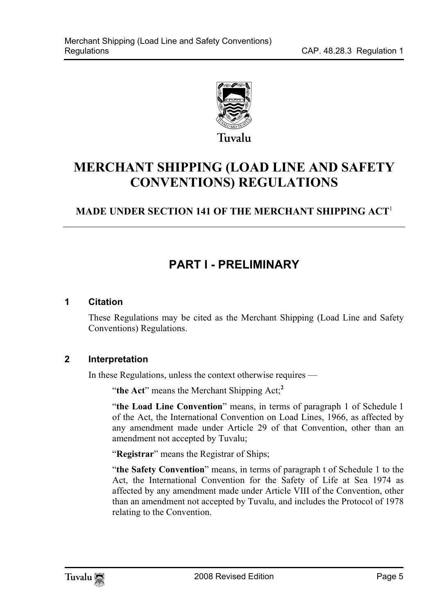

## **MERCHANT SHIPPING (LOAD LINE AND SAFETY CONVENTIONS) REGULATIONS**

### **MADE UNDER SECTION 141 OF THE MERCHANT SHIPPING ACT**<sup>1</sup>

## <span id="page-4-1"></span><span id="page-4-0"></span>**PART I - PRELIMINARY**

#### **1 Citation**

<span id="page-4-2"></span>These Regulations may be cited as the Merchant Shipping (Load Line and Safety Conventions) Regulations.

#### **2 Interpretation**

In these Regulations, unless the context otherwise requires —

"**the Act**" means the Merchant Shipping Act;**<sup>2</sup>**

"**the Load Line Convention**" means, in terms of paragraph 1 of Schedule 1 of the Act, the International Convention on Load Lines, 1966, as affected by any amendment made under Article 29 of that Convention, other than an amendment not accepted by Tuvalu;

"**Registrar**" means the Registrar of Ships;

"**the Safety Convention**" means, in terms of paragraph t of Schedule 1 to the Act, the International Convention for the Safety of Life at Sea 1974 as affected by any amendment made under Article VIII of the Convention, other than an amendment not accepted by Tuvalu, and includes the Protocol of 1978 relating to the Convention.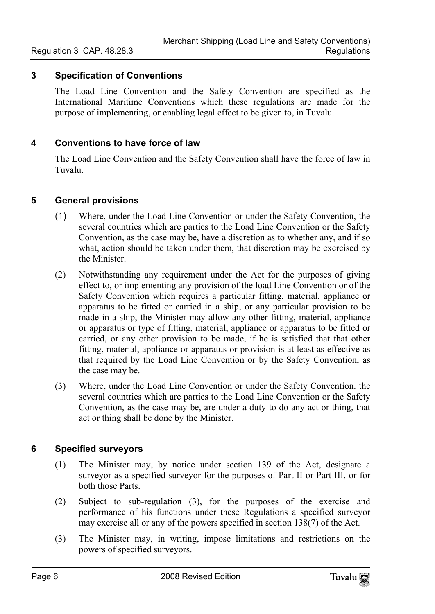#### **3 Specification of Conventions**

<span id="page-5-1"></span><span id="page-5-0"></span>The Load Line Convention and the Safety Convention are specified as the International Maritime Conventions which these regulations are made for the purpose of implementing, or enabling legal effect to be given to, in Tuvalu.

#### **4 Conventions to have force of law**

<span id="page-5-2"></span>The Load Line Convention and the Safety Convention shall have the force of law in Tuvalu.

#### **5 General provisions**

- (1) Where, under the Load Line Convention or under the Safety Convention, the several countries which are parties to the Load Line Convention or the Safety Convention, as the case may be, have a discretion as to whether any, and if so what, action should be taken under them, that discretion may be exercised by the Minister.
- (2) Notwithstanding any requirement under the Act for the purposes of giving effect to, or implementing any provision of the load Line Convention or of the Safety Convention which requires a particular fitting, material, appliance or apparatus to be fitted or carried in a ship, or any particular provision to be made in a ship, the Minister may allow any other fitting, material, appliance or apparatus or type of fitting, material, appliance or apparatus to be fitted or carried, or any other provision to be made, if he is satisfied that that other fitting, material, appliance or apparatus or provision is at least as effective as that required by the Load Line Convention or by the Safety Convention, as the case may be.
- <span id="page-5-3"></span>(3) Where, under the Load Line Convention or under the Safety Convention. the several countries which are parties to the Load Line Convention or the Safety Convention, as the case may be, are under a duty to do any act or thing, that act or thing shall be done by the Minister.

#### **6 Specified surveyors**

- (1) The Minister may, by notice under section 139 of the Act, designate a surveyor as a specified surveyor for the purposes of Part II or Part III, or for both those Parts.
- (2) Subject to sub-regulation (3), for the purposes of the exercise and performance of his functions under these Regulations a specified surveyor may exercise all or any of the powers specified in section 138(7) of the Act.
- (3) The Minister may, in writing, impose limitations and restrictions on the powers of specified surveyors.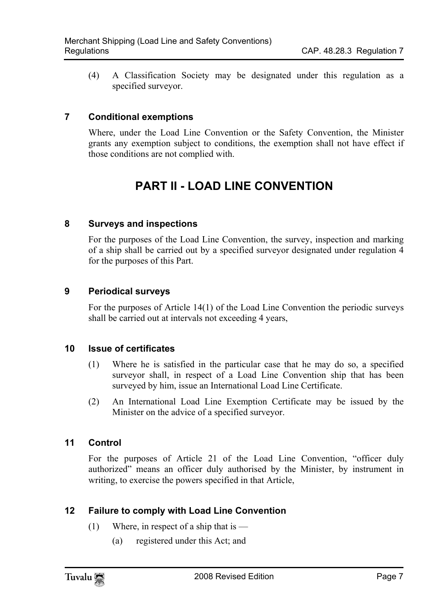<span id="page-6-0"></span>(4) A Classification Society may be designated under this regulation as a specified surveyor.

#### **7 Conditional exemptions**

Where, under the Load Line Convention or the Safety Convention, the Minister grants any exemption subject to conditions, the exemption shall not have effect if those conditions are not complied with.

## <span id="page-6-2"></span><span id="page-6-1"></span>**PART II - LOAD LINE CONVENTION**

#### **8 Surveys and inspections**

<span id="page-6-3"></span>For the purposes of the Load Line Convention, the survey, inspection and marking of a ship shall be carried out by a specified surveyor designated under regulation 4 for the purposes of this Part.

#### **9 Periodical surveys**

<span id="page-6-4"></span>For the purposes of Article 14(1) of the Load Line Convention the periodic surveys shall be carried out at intervals not exceeding 4 years,

#### **10 Issue of certificates**

- (1) Where he is satisfied in the particular case that he may do so, a specified surveyor shall, in respect of a Load Line Convention ship that has been surveyed by him, issue an International Load Line Certificate.
- <span id="page-6-5"></span>(2) An International Load Line Exemption Certificate may be issued by the Minister on the advice of a specified surveyor.

#### **11 Control**

<span id="page-6-6"></span>For the purposes of Article 21 of the Load Line Convention, "officer duly authorized" means an officer duly authorised by the Minister, by instrument in writing, to exercise the powers specified in that Article,

#### **12 Failure to comply with Load Line Convention**

- (1) Where, in respect of a ship that is  $-$ 
	- (a) registered under this Act; and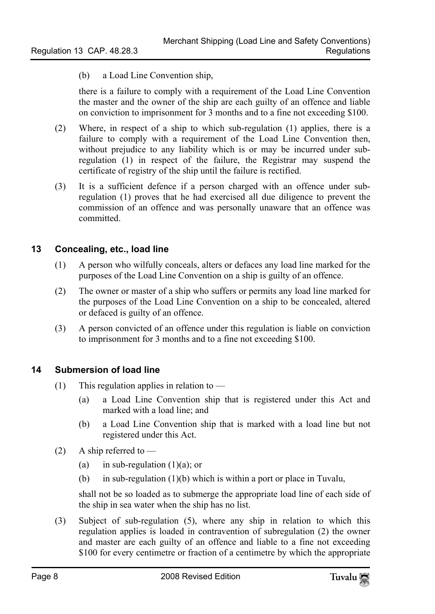(b) a Load Line Convention ship,

there is a failure to comply with a requirement of the Load Line Convention the master and the owner of the ship are each guilty of an offence and liable on conviction to imprisonment for 3 months and to a fine not exceeding \$100.

- (2) Where, in respect of a ship to which sub-regulation (1) applies, there is a failure to comply with a requirement of the Load Line Convention then, without prejudice to any liability which is or may be incurred under subregulation (1) in respect of the failure, the Registrar may suspend the certificate of registry of the ship until the failure is rectified.
- <span id="page-7-0"></span>(3) It is a sufficient defence if a person charged with an offence under subregulation (1) proves that he had exercised all due diligence to prevent the commission of an offence and was personally unaware that an offence was committed.

#### **13 Concealing, etc., load line**

- (1) A person who wilfully conceals, alters or defaces any load line marked for the purposes of the Load Line Convention on a ship is guilty of an offence.
- (2) The owner or master of a ship who suffers or permits any load line marked for the purposes of the Load Line Convention on a ship to be concealed, altered or defaced is guilty of an offence.
- <span id="page-7-1"></span>(3) A person convicted of an offence under this regulation is liable on conviction to imprisonment for 3 months and to a fine not exceeding \$100.

#### **14 Submersion of load line**

- (1) This regulation applies in relation to  $-$ 
	- (a) a Load Line Convention ship that is registered under this Act and marked with a load line; and
	- (b) a Load Line Convention ship that is marked with a load line but not registered under this Act.
- (2) A ship referred to  $-$ 
	- (a) in sub-regulation  $(1)(a)$ ; or
	- (b) in sub-regulation (1)(b) which is within a port or place in Tuvalu,

shall not be so loaded as to submerge the appropriate load line of each side of the ship in sea water when the ship has no list.

(3) Subject of sub-regulation (5), where any ship in relation to which this regulation applies is loaded in contravention of subregulation (2) the owner and master are each guilty of an offence and liable to a fine not exceeding \$100 for every centimetre or fraction of a centimetre by which the appropriate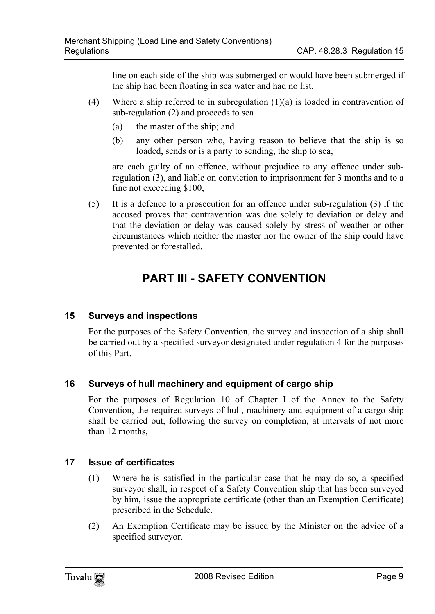line on each side of the ship was submerged or would have been submerged if the ship had been floating in sea water and had no list.

- (4) Where a ship referred to in subregulation  $(1)(a)$  is loaded in contravention of sub-regulation (2) and proceeds to sea —
	- (a) the master of the ship; and
	- (b) any other person who, having reason to believe that the ship is so loaded, sends or is a party to sending, the ship to sea,

are each guilty of an offence, without prejudice to any offence under subregulation (3), and liable on conviction to imprisonment for 3 months and to a fine not exceeding \$100,

(5) It is a defence to a prosecution for an offence under sub-regulation (3) if the accused proves that contravention was due solely to deviation or delay and that the deviation or delay was caused solely by stress of weather or other circumstances which neither the master nor the owner of the ship could have prevented or forestalled.

## <span id="page-8-1"></span><span id="page-8-0"></span>**PART III - SAFETY CONVENTION**

#### **15 Surveys and inspections**

<span id="page-8-2"></span>For the purposes of the Safety Convention, the survey and inspection of a ship shall be carried out by a specified surveyor designated under regulation 4 for the purposes of this Part.

#### **16 Surveys of hull machinery and equipment of cargo ship**

<span id="page-8-3"></span>For the purposes of Regulation 10 of Chapter I of the Annex to the Safety Convention, the required surveys of hull, machinery and equipment of a cargo ship shall be carried out, following the survey on completion, at intervals of not more than 12 months,

#### **17 Issue of certificates**

- (1) Where he is satisfied in the particular case that he may do so, a specified surveyor shall, in respect of a Safety Convention ship that has been surveyed by him, issue the appropriate certificate (other than an Exemption Certificate) prescribed in the Schedule.
- (2) An Exemption Certificate may be issued by the Minister on the advice of a specified surveyor.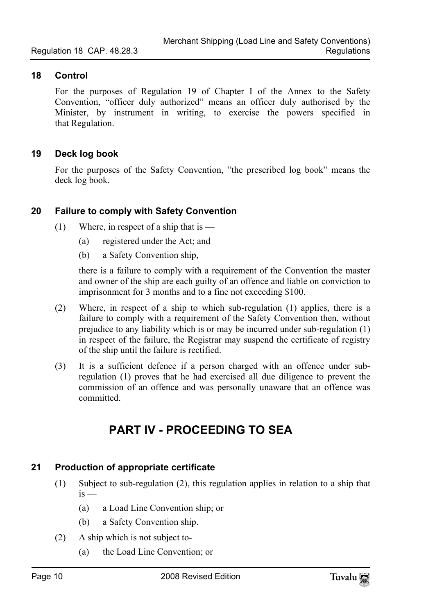#### **18 Control**

<span id="page-9-1"></span><span id="page-9-0"></span>For the purposes of Regulation 19 of Chapter I of the Annex to the Safety Convention, "officer duly authorized" means an officer duly authorised by the Minister, by instrument in writing, to exercise the powers specified in that Regulation.

#### **19 Deck log book**

<span id="page-9-2"></span>For the purposes of the Safety Convention, "the prescribed log book" means the deck log book.

#### **20 Failure to comply with Safety Convention**

- (1) Where, in respect of a ship that is  $-$ 
	- (a) registered under the Act; and
	- (b) a Safety Convention ship,

there is a failure to comply with a requirement of the Convention the master and owner of the ship are each guilty of an offence and liable on conviction to imprisonment for 3 months and to a fine not exceeding \$100.

- (2) Where, in respect of a ship to which sub-regulation (1) applies, there is a failure to comply with a requirement of the Safety Convention then, without prejudice to any liability which is or may be incurred under sub-regulation (1) in respect of the failure, the Registrar may suspend the certificate of registry of the ship until the failure is rectified.
- (3) It is a sufficient defence if a person charged with an offence under subregulation (1) proves that he had exercised all due diligence to prevent the commission of an offence and was personally unaware that an offence was committed.

## <span id="page-9-3"></span>**PART IV - PROCEEDING TO SEA**

#### **21 Production of appropriate certificate**

- (1) Subject to sub-regulation (2), this regulation applies in relation to a ship that  $is$  —
	- (a) a Load Line Convention ship; or
	- (b) a Safety Convention ship.
- (2) A ship which is not subject to-
	- (a) the Load Line Convention; or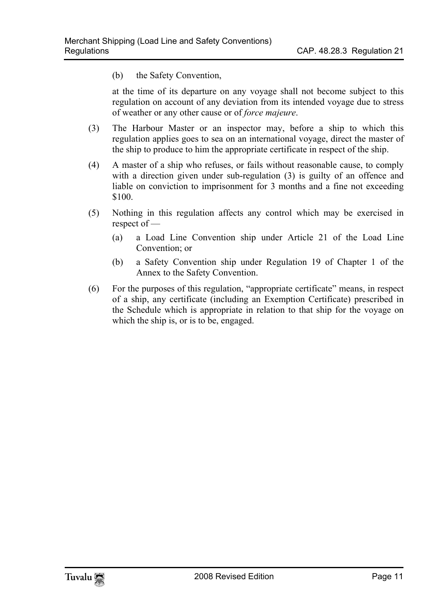(b) the Safety Convention,

at the time of its departure on any voyage shall not become subject to this regulation on account of any deviation from its intended voyage due to stress of weather or any other cause or of *force majeure*.

- (3) The Harbour Master or an inspector may, before a ship to which this regulation applies goes to sea on an international voyage, direct the master of the ship to produce to him the appropriate certificate in respect of the ship.
- (4) A master of a ship who refuses, or fails without reasonable cause, to comply with a direction given under sub-regulation (3) is guilty of an offence and liable on conviction to imprisonment for 3 months and a fine not exceeding \$100.
- (5) Nothing in this regulation affects any control which may be exercised in respect of —
	- (a) a Load Line Convention ship under Article 21 of the Load Line Convention; or
	- (b) a Safety Convention ship under Regulation 19 of Chapter 1 of the Annex to the Safety Convention.
- (6) For the purposes of this regulation, "appropriate certificate" means, in respect of a ship, any certificate (including an Exemption Certificate) prescribed in the Schedule which is appropriate in relation to that ship for the voyage on which the ship is, or is to be, engaged.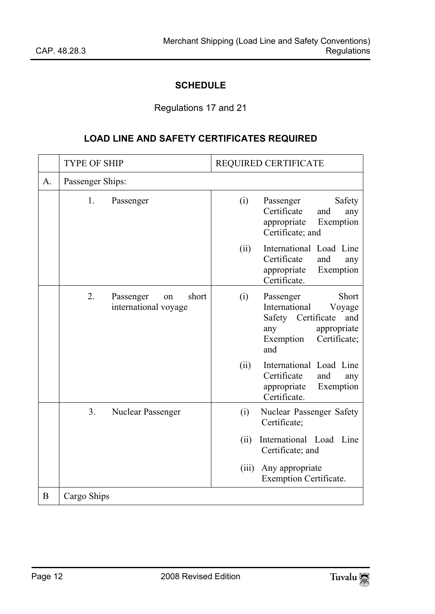#### <span id="page-11-0"></span>**SCHEDULE**

#### <span id="page-11-1"></span>Regulations 17 and 21

#### **LOAD LINE AND SAFETY CERTIFICATES REQUIRED**

|    | <b>TYPE OF SHIP</b> |                                                  | REQUIRED CERTIFICATE |                                                                                                                                      |
|----|---------------------|--------------------------------------------------|----------------------|--------------------------------------------------------------------------------------------------------------------------------------|
| A. | Passenger Ships:    |                                                  |                      |                                                                                                                                      |
|    | 1.                  | Passenger                                        | (i)                  | Passenger<br>Safety<br>Certificate<br>and<br>any<br>appropriate<br>Exemption<br>Certificate; and                                     |
|    |                     |                                                  | (ii)                 | International Load Line<br>Certificate<br>and<br>any<br>appropriate<br>Exemption<br>Certificate.                                     |
|    | 2.                  | short<br>Passenger<br>on<br>international voyage | (i)                  | Short<br>Passenger<br>International<br>Voyage<br>Safety Certificate<br>and<br>appropriate<br>any<br>Exemption<br>Certificate;<br>and |
|    |                     |                                                  | (ii)                 | International Load Line<br>Certificate<br>and<br>any<br>appropriate<br>Exemption<br>Certificate.                                     |
|    | 3.                  | Nuclear Passenger                                | (i)                  | Nuclear Passenger Safety<br>Certificate;                                                                                             |
|    |                     |                                                  | (ii)                 | International Load Line<br>Certificate; and                                                                                          |
|    |                     |                                                  | (iii)                | Any appropriate<br>Exemption Certificate.                                                                                            |
| B  | Cargo Ships         |                                                  |                      |                                                                                                                                      |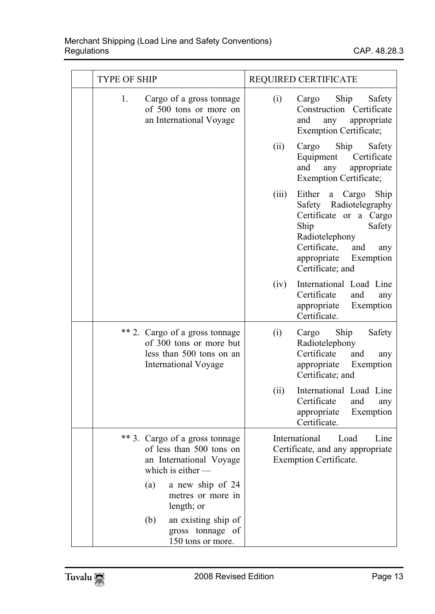|    | <b>TYPE OF SHIP</b>                                                                                                  |       | REQUIRED CERTIFICATE                                                                                                                                                                            |  |
|----|----------------------------------------------------------------------------------------------------------------------|-------|-------------------------------------------------------------------------------------------------------------------------------------------------------------------------------------------------|--|
| 1. | Cargo of a gross tonnage<br>of 500 tons or more on<br>an International Voyage                                        | (i)   | Ship<br>Cargo<br>Safety<br>Construction Certificate<br>and<br>any<br>appropriate<br><b>Exemption Certificate;</b>                                                                               |  |
|    |                                                                                                                      | (ii)  | Ship<br>Cargo<br>Safety<br>Equipment Certificate<br>and<br>appropriate<br>any<br><b>Exemption Certificate;</b>                                                                                  |  |
|    |                                                                                                                      | (iii) | Either<br>Ship<br>a Cargo<br>Safety Radiotelegraphy<br>Certificate or a Cargo<br>Ship<br>Safety<br>Radiotelephony<br>Certificate,<br>and<br>any<br>appropriate<br>Exemption<br>Certificate; and |  |
|    |                                                                                                                      | (iv)  | International Load Line<br>Certificate<br>and<br>any<br>appropriate<br>Exemption<br>Certificate.                                                                                                |  |
|    | ** 2. Cargo of a gross tonnage<br>of 300 tons or more but<br>less than 500 tons on an<br><b>International Voyage</b> | (i)   | Ship<br>Safety<br>Cargo<br>Radiotelephony<br>Certificate<br>and<br>any<br>appropriate<br>Exemption<br>Certificate; and                                                                          |  |
|    |                                                                                                                      | (ii)  | International Load Line<br>Certificate<br>and<br>any<br>appropriate<br>Exemption<br>Certificate.                                                                                                |  |
|    | ** 3. Cargo of a gross tonnage<br>of less than 500 tons on<br>an International Voyage<br>which is either $-$         |       | International<br>Load<br>Line<br>Certificate, and any appropriate<br>Exemption Certificate.                                                                                                     |  |
|    | a new ship of 24<br>(a)<br>metres or more in<br>length; or                                                           |       |                                                                                                                                                                                                 |  |
|    | an existing ship of<br>(b)<br>gross tonnage of<br>150 tons or more.                                                  |       |                                                                                                                                                                                                 |  |